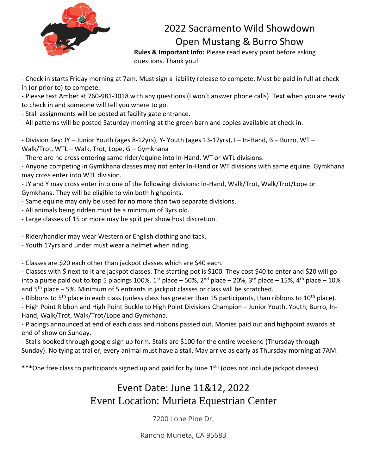

## 2022 Sacramento Wild Showdown Open Mustang & Burro Show

**Rules & Important Info:** Please read every point before asking questions. Thank you!

- Check in starts Friday morning at 7am. Must sign a liability release to compete. Must be paid in full at check in (or prior to) to compete.

- Please text Amber at 760-981-3018 with any questions (I won't answer phone calls). Text when you are ready to check in and someone will tell you where to go.

- Stall assignments will be posted at facility gate entrance.

- All patterns will be posted Saturday morning at the green barn and copies available at check in.

- Division Key: JY – Junior Youth (ages 8-12yrs), Y- Youth (ages 13-17yrs), I – In-Hand, B – Burro, WT – Walk/Trot, WTL – Walk, Trot, Lope, G – Gymkhana

- There are no cross entering same rider/equine into In-Hand, WT or WTL divisions.

- Anyone competing in Gymkhana classes may not enter In-Hand or WT divisions with same equine. Gymkhana may cross enter into WTL division.

- JY and Y may cross enter into one of the following divisions: In-Hand, Walk/Trot, Walk/Trot/Lope or Gymkhana. They will be eligible to win both highpoints.

- Same equine may only be used for no more than two separate divisions.
- All animals being ridden must be a minimum of 3yrs old.
- Large classes of 15 or more may be split per show host discretion.

- Rider/handler may wear Western or English clothing and tack.

- Youth 17yrs and under must wear a helmet when riding.

- Classes are \$20 each other than jackpot classes which are \$40 each.

- Classes with \$ next to it are jackpot classes. The starting pot is \$100. They cost \$40 to enter and \$20 will go into a purse paid out to top 5 placings 100%. 1<sup>st</sup> place – 50%, 2<sup>nd</sup> place – 20%, 3<sup>rd</sup> place – 15%, 4<sup>th</sup> place – 10% and  $5<sup>th</sup>$  place – 5%. Minimum of 5 entrants in jackpot classes or class will be scratched.

- Ribbons to  $5<sup>th</sup>$  place in each class (unless class has greater than 15 participants, than ribbons to  $10<sup>th</sup>$  place).

- High Point Ribbon and High Point Buckle to High Point Divisions Champion – Junior Youth, Youth, Burro, In-Hand, Walk/Trot, Walk/Trot/Lope and Gymkhana.

- Placings announced at end of each class and ribbons passed out. Monies paid out and highpoint awards at end of show on Sunday.

- Stalls booked through google sign up form. Stalls are \$100 for the entire weekend (Thursday through Sunday). No tying at trailer, every animal must have a stall. May arrive as early as Thursday morning at 7AM.

\*\*\*One free class to participants signed up and paid for by June 1st! (does not include jackpot classes)

## Event Date: June 11&12, 2022 Event Location: Murieta Equestrian Center

7200 Lone Pine Dr,

Rancho Murieta, CA 95683